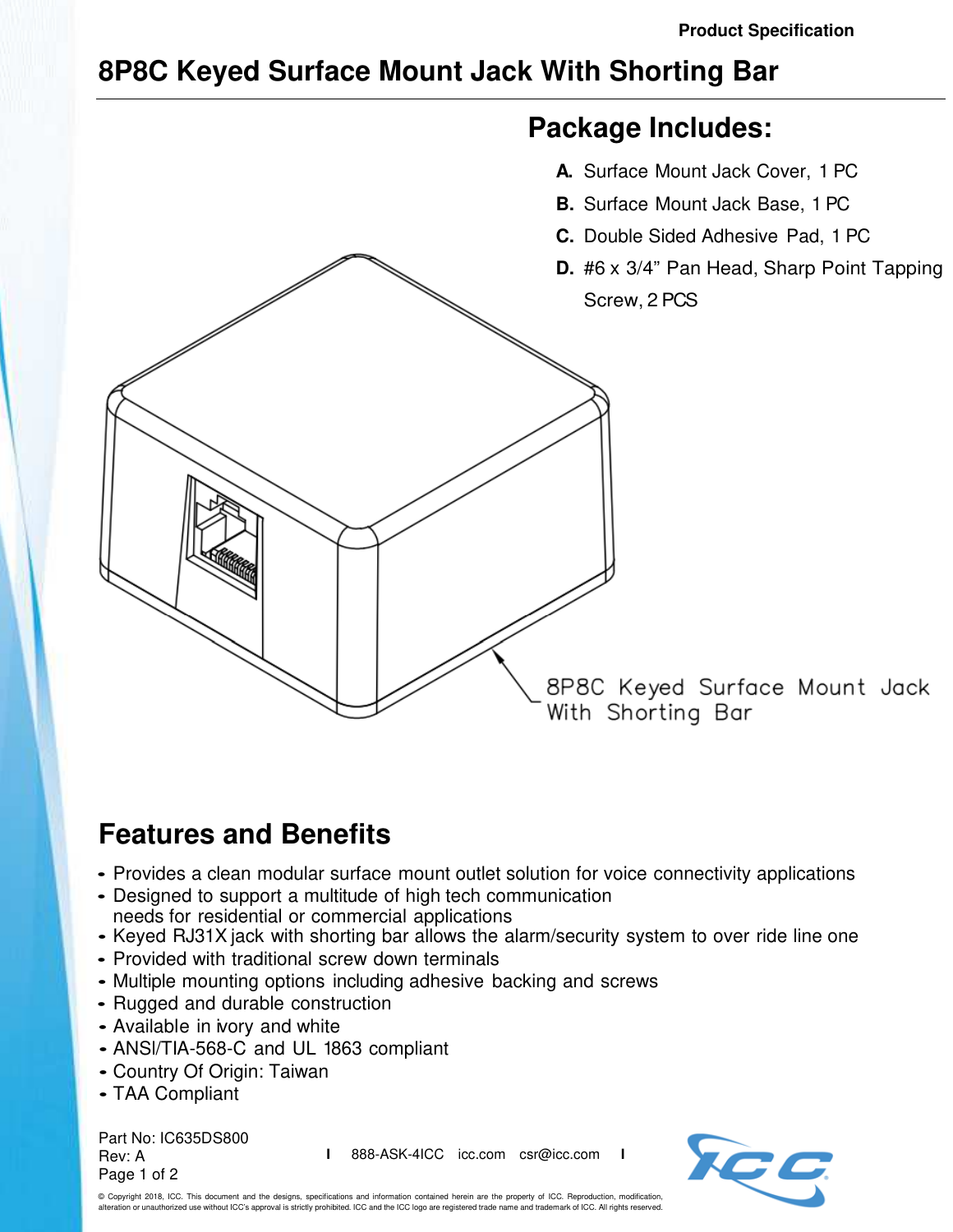## **8P8C Keyed Surface Mount Jack With Shorting Bar**



## **Features and Benefits**

- Provides a clean modular surface mount outlet solution for voice connectivity applications
- Designed to support a multitude of high tech communication needs for residential or commercial applications
- Keyed RJ31X jack with shorting bar allows the alarm/security system to over ride line one
- Provided with traditional screw down terminals
- Multiple mounting options including adhesive backing and screws
- Rugged and durable construction
- Available in ivory and white
- ANSl/TIA-568-C and UL 1863 compliant
- Country Of Origin: Taiwan
- TAA Compliant

Part No: IC635DS800 Rev: A Page 1 of 2

**I** 888-ASK-4ICC icc.com csr@icc.com **I**



© Copyright 2018, ICC. This document and the designs, specifications and information contained herein are the property of ICC. Reproduction, modification, alteration or unauthorized use without ICC's approval is strictly prohibited. ICC and the ICC logo are registered trade name and trademark of ICC. All rights reserved.